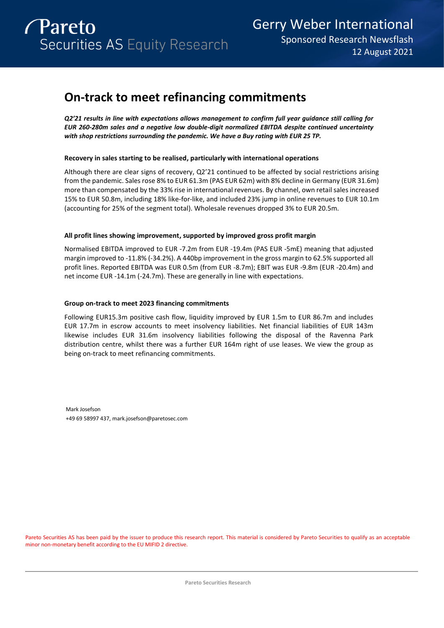# **On-track to meet refinancing commitments**

*Q2'21 results in line with expectations allows management to confirm full year guidance still calling for EUR 260-280m sales and a negative low double-digit normalized EBITDA despite continued uncertainty with shop restrictions surrounding the pandemic. We have a Buy rating with EUR 25 TP.* 

### **Recovery in sales starting to be realised, particularly with international operations**

Although there are clear signs of recovery, Q2'21 continued to be affected by social restrictions arising from the pandemic. Sales rose 8% to EUR 61.3m (PAS EUR 62m) with 8% decline in Germany (EUR 31.6m) more than compensated by the 33% rise in international revenues. By channel, own retail sales increased 15% to EUR 50.8m, including 18% like-for-like, and included 23% jump in online revenues to EUR 10.1m (accounting for 25% of the segment total). Wholesale revenues dropped 3% to EUR 20.5m.

### **All profit lines showing improvement, supported by improved gross profit margin**

Normalised EBITDA improved to EUR -7.2m from EUR -19.4m (PAS EUR -5mE) meaning that adjusted margin improved to -11.8% (-34.2%). A 440bp improvement in the gross margin to 62.5% supported all profit lines. Reported EBITDA was EUR 0.5m (from EUR -8.7m); EBIT was EUR -9.8m (EUR -20.4m) and net income EUR -14.1m (-24.7m). These are generally in line with expectations.

### **Group on-track to meet 2023 financing commitments**

Following EUR15.3m positive cash flow, liquidity improved by EUR 1.5m to EUR 86.7m and includes EUR 17.7m in escrow accounts to meet insolvency liabilities. Net financial liabilities of EUR 143m likewise includes EUR 31.6m insolvency liabilities following the disposal of the Ravenna Park distribution centre, whilst there was a further EUR 164m right of use leases. We view the group as being on-track to meet refinancing commitments.

Mark Josefson +49 69 58997 437, mark.josefson@paretosec.com

Pareto Securities AS has been paid by the issuer to produce this research report. This material is considered by Pareto Securities to qualify as an acceptable minor non-monetary benefit according to the EU MIFID 2 directive.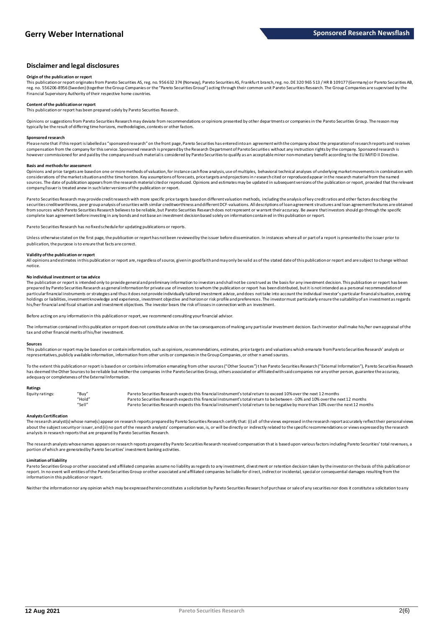### **Disclaimer and legal disclosures**

#### **Origin of the publication or report**

This publication or report originates from Pareto Securities AS, reg. no. 956 632 374 (Norway), Pareto Securities AS, Frankfu rt branch, reg. no. DE 320 965 513 / HR B 109177 (Germany) or Pareto Securities AB, reg. no. 556206-8956 (Sweden) (together the Group Companies or the "Pareto Securities Group") acting through their common unit P areto Securities Research. The Group Companies are supervised by the Financial Supervisory Authority of their respective home countries.

#### **Content of the publication or report**

This publication or report has been prepared solely by Pareto Securities Research.

Opinions or suggestions from Pareto Securities Research may deviate from recommendations or opinions presented by other departments or companies in the Pareto Securities Group. The reason may typically be the result of differing time horizons, methodologies, contexts or other factors.

#### **Sponsored research**

Please note that if this report is labelled as "sponsored research" on the front page, Pareto Securities has entered into an agreement with the company about the preparation of research reports and receives compensation from the company for this service. Sponsored research is prepared by the Research Department of Pareto Securities without any instruction rights by the company. Sponsored research is however commissioned for and paid by the company and such material is considered by Pareto Securities to qualify as an acceptable minor non-monetary benefit according to the EU MiFID II Directive.

#### **Basis and methods for assessment**

Opinions and price targets are based on one or more methods of valuation, for instance cash flow analysis, use of multiples, behavioral technical analyses of underlying market movements in combination with considerations of the market situation and the time horizon. Key assumptions of forecasts, price targets and projections in research cited or reproduced appear in the research material from the named sources. The date of publication appears from the research material cited or reproduced. Opinions and estimates may be updated in subsequent versions of the publication or report, provided that the relevant company/issuer is treated anew in such later versions of the publication or report.

Pareto Securities Research may provide credit research with more specific price targets based on different valuation methods, including the analysis of key credit ratios and other factors describing the securities creditworthiness, peer group analysis of securities with similar creditworthiness and different DCF-valuations. All descriptions of loan agreement structures and loan agreement features are obtained from sources which Pareto Securities Research believes to be reliable, but Pareto Securities Research does not represent or warrant their accuracy. Be aware that investors should go through the specific complete loan agreement before investing in any bonds and not base an investment decision based solely on information contain ed in this publication or report.

Pareto Securities Research has no fixed schedule for updating publications or reports.

Unless otherwise stated on the first page, the publication or report has not been reviewed by the issuer before dissemination. In instances where all or part of a report is presented to the issuer prior to publication, the purpose is to ensure that facts are correct.

#### **Validity of the publication or report**

All opinions and estimates in this publication or report are, regardless of source, given in good faith and may only be valid a s of the stated date of this publication or report and are subject to change without notice.

#### **No individual investment or tax advice**

The publication or report is intended only to provide general and preliminary information to investors and shall not be construed as the basis for any investment decision. This publication or report has been prepared by Pareto Securities Research as general information for private use of investors to whom the publication or report has been distributed, but it is not intended as a personal recommendation of particular financial instruments or strategies and thus it does not provide individually tailored investment advice, and does not take into account the individual investor's particular financial situation, existing holdings or liabilities, investment knowledge and experience, investment objective and horizon or risk profile and preferences. The investor must particularly ensure the suitability of an investment as regards his/her financial and fiscal situation and investment objectives. The investor bears the risk of losses in connection with an investment.

Before acting on any information in this publication or report, we recommend consulting your financial advisor.

The information contained in this publication or report does not constitute advice on the tax consequences of making any particular investment decision. Each investor shall make his/her own appraisal of the tax and other financial merits of his/her investment.

#### **Sources**

This publication or report may be based on or contain information, such as opinions, recommendations, estimates, price targets and valuations which emanate from Pareto Securities Research' analysts or representatives, publicly available information, information from other units or companies in the Group Companies, or other n amed sources.

To the extent this publication or report is based on or contains information emanating from other sources ("Other Sources") than Pareto Securities Research ("External Information"), Pareto Securities Research has deemed the Other Sources to be reliable but neither the companies in the Pareto Securities Group, others associated or affiliated with said companies nor any other person, guarantee the accuracy, adequacy or completeness of the External Information.

#### **Ratings**

| Equity ratings: | "Buy"  | Pareto Securities Research expects this financial instrument's total return to exceed 10% over the next 12 months                   |
|-----------------|--------|-------------------------------------------------------------------------------------------------------------------------------------|
|                 | "Hold" | Pareto Securities Research expects this financial instrument's total return to be between -10% and 10% over the next 12 months      |
|                 | "Sell" | Pareto Securities Research expects this financial instrument's total return to be negative by more than 10% over the next 12 months |

#### **Analysts Certification**

The research analyst(s) whose name(s) appear on research reports prepared by Pareto Securities Research certify that: (i) all of the views expressed in the research report accurately reflect their personal views about the subject security or issuer, and (ii) no part of the research analysts' compensation was, is, or will be directly or indirectly related to the specific recommendations or views expressed by the research analysts in research reports that are prepared by Pareto Securities Research.

The research analysts whose names appears on research reports prepared by Pareto Securities Research received compensation that is based upon various factors including Pareto Securities' total revenues, a portion of which are generated by Pareto Securities' investment banking activities.

#### **Limitation of liability**

Pareto Securities Group or other associated and affiliated companies assume no liability as regards to any investment, divest ment or retention decision taken by the investor on the basis of this publication or<br>report. In information in this publication or report.

Neither the information nor any opinion which may be expressed herein constitutes a solicitation by Pareto Securities Researc h of purchase or sale of any securities nor does it constitute a solicitation to any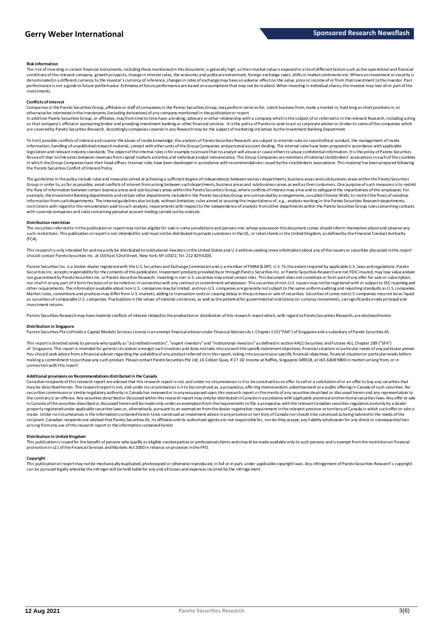#### **Risk information**

The risk of investing in certain financial instruments, including those mentioned in this document, is generally high, as their market value is exposed to a lot of different factors such as the operational and financial conditions of the relevant company, growth prospects, change in interest rates, the economic and political environment, foreign exchange rates, shifts in market sentiments etc. Where an investment or security is<br>denominate performance is not a guide to future performance. Estimates of future performance are based on assumptions that may not be realized. When investing in individual shares, the investor may lose all or part of the investments.

#### **Conflicts of interest**

Companies in the Pareto Securities Group, affiliates or staff of companies in the Pareto Securities Group, may perform servic es for, solicit business from, make a market in, hold long or short positions in, or otherwise be interested in the investments (including derivatives) of any company mentioned in the publication or report.

In addition Pareto Securities Group, or affiliates, may from time to time have a broking, advisory or other relationship with a company which is the subject of or referred to in the relevant Research, including acting<br>as t are covered by Pareto Securities Research. Accordingly companies covered in any Research may be the subject of marketing initiatives by the Investment Banking Department.

To limit possible conflicts of interest and counter the abuse of inside knowledge, the analysts of Pareto Securities Research are subject to internal rules on sound ethical conduct, the management of inside information, handling of unpublished research material, contact with other units of the Group Companies and personal account dealing. The internal rules have been prepared in accordance with applicable legislation and relevant industry standards. The object of the internal rules is for example to ensure that no analyst will abuse or cause others to abuse confidential information. It is the policy of Pareto Securities Research that no link exists between revenues from capital markets activities and individual analyst remuneration. The Group Companies are members of national stockbrokers' associations in each of the countries in which the Group Companies have their head offices. Internal rules have been developed in accordance with recommendations i ssued by the stockbrokers associations. This material has been prepared following<br>the Pareto Sec

The guidelines in the policy include rules and measures aimed at achieving a sufficient degree of independence between various departments, business areas and sub-business areas we sare within the Pareto Securities<br>Group i the flow of information between certain business areas and sub-business areas within the Pareto Securities Group, where conflicts of interest may arise and to safeguard the impartialness of the employees. For example, the Investment Banking departments and certain other departments included in the Pareto Securities Group are surroundedby arrangements, so-called Chinese Walls, to restrict the flows of sensitive information from such departments. The internal guidelines also include, without limitation, rules aimed at securing the impartialness of, e.g., analysts working in the Pareto Securities Research departments, restrictions with regard to the remuneration paid to such analysts, requirements with respect to the independence of analysts from other departments within the Pareto Securities Group rules concerning contacts with covered companies and rules concerning personal account trading carried out by analysts.

#### **Distribution restriction**

The securities referred to in this publication or report may not be eligible for sale in some jurisdictions and persons into whose possession this document comes should inform themselves about and observe any such restrictions. This publication or report is not intended for and must not be distributed to private customers in the US, or retail clients in the United Kingdom, as defined by the Financial Conduct Authority (FCA).

This research is only intended for and may only be distributed to institutional investors in the United States and U.S entities seeking more information about any of the issuers or securities discussed in this report should contact Pareto Securities Inc. at 150 East 52nd Street, New York, NY 10022, Tel. 212 829 4200.

Pareto Securities Inc. is a broker-dealer registered with the U.S. Securities and Exchange Commission and is a member of FINRA & SIPC. U.S. To the extent required by applicable U.S. laws and regulations, Pareto Securities Inc. accepts responsibility for the contents of this publication. Investment products provided by or through Paret o Securities Inc. or Pareto Securities Research are not FDIC insured, may lose value and ar not guaranteed by Pareto Securities Inc. or Pareto Securities Research. Investing in non-U.S. securities may entail certain risks. This document does not constitute or form part of any offer for sale or subscription, nor shall it or any part of it form the basis of or be relied on in connection with any contract or commitment whatsoever. The securities of non-U.S. issuers may not be registered with or subject to SEC reporting and other requirements. The information available about non-U.S. companies may be limited, and non-U.S. companies are generally not subject to the same uniform auditing and reporting standards as U.S. companies. Market rules, conventions and practices may differ from U.S. markets, adding to transaction costs or causing delays in the pu rchase or sale of securities. Securities of some non-U.S. companies may not be as liquid as securities of comparable U.S. companies. Fluctuations in the values of national currencies, as well as the potential for governmental restrictions on currency movements, can significantly erode principal and investment returns

Pareto Securities Research may have material conflicts of interest related to the production or distribution of this research report which, with regard to Pareto Securities Research, are disclosed herein.

#### **Distribution in Singapore**

Pareto Securities Pte Ltd holds a Capital Markets Services License is an exempt financial advisor under Financial Advisers Ac t, Chapter 110 ("FAA") of Singapore and a subsidiary of Pareto Securities AS.

This report is directed solely to persons who qualify as "accredited investors", "expert investors" and "institutional investors" as defined in section 4A(1) Securities and Futures Act, Chapter 289 ("SFA") of Singapore. This report is intended for general circulation amongst such investors and does not take into account the specifi investment objectives, financial situation or particular needs of any particular person.<br>You s making a commitment to purchase any such product. Please contact Pareto Securities Pte Ltd, 16 Collyer Quay, # 27 -02 Income at Raffles, Singapore 049318, at +65 6408 9800 in matters arising from, or in connection with this report.

Additional provisions on Recommendations distributed in the Canada<br>Canadian recipients of this research report are advised that this research report is not, and under no circumstances is it to be construed as an offer to s may be described herein. This research report is not, and under no circumstances is it to be construed as, a prospectus, offe ring memorandum, advertisement or a public offering in Canada of such securities. No securities commission or similar regulatory authority in Canada has reviewed or in any way passed upon this research report or the merits of any securities described or discussed herein and any representation to the contrary is an offence. Any securities described or discussed within this research report may only be distributed in Canada in accordance with applicable provincial and territorial securities laws. Any offer or sale in Canada of the securities described or discussed herein will be made only under an exemption from the requirements to file a prospectus with the relevant Canadian securities regulators and only by a dealer properly registered under applicable securities laws or, alternatively, pursuant to an exemption from the dealer registration requirement in the relevant province or territory of Canada in which such offer or sale is made. Under no circumstances is the information contained herein to be construed as investment advice in any province or territory of Canada nor should it be construed as being tailored to the needs of the recipient. Canadian recipients are advised that Pareto Securities AS, its affiliates and its authorized agents are not responsible for, nor do they accept, any liability whatsoever for any direct or consequential loss arising from any use of this research report or the information contained herein.

#### **Distribution in United Kingdom**

This publication is issued for the benefit of persons who qualify as eligible counterparties or professional clients and should be made available only to such persons and is exempt from the restriction on financial promotion in s21 of the Financial Services and Markets Act 2000 in reliance on provision in the FPO.

#### **Copyright**

This publication or report may not be mechanically duplicated, photocopied or otherwise reproduced, in full or in part, under a pplicable copyright laws. Any infringement of Pareto Securities Research's copyright can be pursued legally whereby the infringer will be held liable for any and all losses and expenses incurred by the infringement.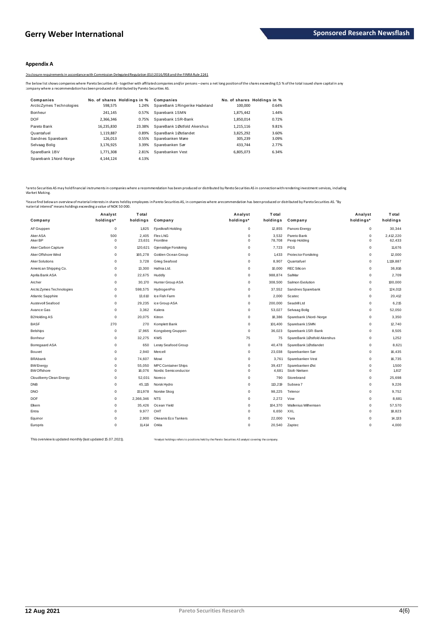### **Appendix A**

Disclosure requirements in accordance with Commission Delegated Regulation (EU) 2016/958 and the FINRA Rule 2241

The below list shows companies where Pareto Securities AS - together with affiliated companies and/or persons – owns a net long position of the shares exceeding 0,5 % of the total issued share capital in any<br>company where

| Companies                |            | No. of shares Holdings in % | Companies                      |           | No. of shares Holdings in % |
|--------------------------|------------|-----------------------------|--------------------------------|-----------|-----------------------------|
| ArcticZymes Technologies | 598,575    | 1.24%                       | SpareBank 1 Ringerike Hadeland | 100,000   | 0.64%                       |
| Bonheur                  | 241.145    | 0.57%                       | Sparebank 1SMN                 | 1,875,442 | 1.44%                       |
| <b>DOF</b>               | 2.366.346  | 0.75%                       | Sparebank 1SR-Bank             | 1,850,014 | 0.72%                       |
| Pareto Bank              | 16,235,830 | 23.38%                      | SpareBank 1Østfold Akershus    | 1,215,116 | 9.81%                       |
| Quantafuel               | 1.119.887  | 0.89%                       | SpareBank 1Østlandet           | 3.825.292 | 3.60%                       |
| Sandnes Sparebank        | 126,013    | 0.55%                       | Sparebanken Møre               | 305.239   | 3.09%                       |
| Selvaag Bolig            | 3.176.925  | 3.39%                       | Sparebanken Sør                | 433.744   | 2.77%                       |
| SpareBank 1BV            | 1.771.308  | 2.81%                       | Sparebanken Vest               | 6.805.073 | 6.34%                       |
| Sparebank 1Nord-Norge    | 4.144.124  | 4.13%                       |                                |           |                             |

Pareto Securities AS may hold financial instruments in companies where a recommendation has been produced or distributed by Pareto Securities AS in connection with rendering investment services, including Market Making.

Please find belowan overviewof material interests in shares held by employees in Pareto Securities AS, in companies where arecommendation has been produced or distributed by Pareto Securities AS. "By<br>material interest" mea

| Company                  | Analyst<br>holdings* | <b>T</b> otal<br>holdings | Company               | Analyst<br>holdings* | T otal<br>holdings | Company                      | Analyst<br>holdings*     | <b>T</b> otal<br>holdings |
|--------------------------|----------------------|---------------------------|-----------------------|----------------------|--------------------|------------------------------|--------------------------|---------------------------|
| AF Gruppen               | $\pmb{0}$            | 1,825                     | Fjordkraft Holding    | $\mathbf 0$          | 12,855             | Panoro Energy                | $\mathsf 0$              | 30,344                    |
| AkerASA<br><b>AkerBP</b> | 500<br>$^{\circ}$    | 2,405<br>23,631           | Flex LNG<br>Frontline | 0<br>0               | 3,532<br>78,708    | Pareto Bank<br>Pexip Holding | $\pmb{0}$<br>$\mathbf 0$ | 2,412,220<br>62,433       |
| Aker Carbon Capture      | $^{\circ}$           | 120,621                   | Gjensidige Forsikring | 0                    | 7,723              | PGS                          | $\mathbf 0$              | 11,676                    |
| Aker Offshore Wind       | $^{\circ}$           | 165,278                   | Golden Ocean Group    | 0                    | 1,433              | Protector Forsikring         | $\mathbf 0$              | 12,000                    |
| Aker Solutions           | $\mathbf 0$          | 3,728                     | Grieg Seafood         | 0                    | 8,907              | Quantafuel                   | $\mathbf 0$              | 1,119,887                 |
| American Shipping Co.    | $\mathbf 0$          | 13,300                    | Hafnia Ltd.           | 0                    | 10,000             | <b>REC Silicon</b>           | $\mathbf 0$              | 36,816                    |
| Aprila Bank ASA          | $\mathbf 0$          | 22,675                    | Huddly                | 0                    | 988,874            | SalMar                       | $\mathbf 0$              | 2,709                     |
| Archer                   | $\mathbf 0$          | 30.170                    | Hunter Group ASA      | 0                    | 308,500            | Salmon Evolution             | $\mathbf 0$              | 100,000                   |
| ArcticZymes Technologies | $\mathbf 0$          | 598,575                   | HydrogenPro           | 0                    | 37,552             | Sandnes Sparebank            | $\mathbf 0$              | 124,013                   |
| Atlantic Sapphire        | $\mathbf 0$          | 13,610                    | Ice Fish Farm         | 0                    | 2,000              | Scatec                       | $\mathbf 0$              | 20,412                    |
| Austevoll Seafood        | $\mathbf 0$          | 29,235                    | ice Group ASA         | 0                    | 200,000            | Seadrill Ltd                 | $\mathbf 0$              | 6,215                     |
| Avance Gas               | $\mathbf 0$          | 3,362                     | Kalera                | $\Omega$             | 53,027             | Selvaag Bolig                | $\pmb{0}$                | 52,050                    |
| <b>B2Holding AS</b>      | $\mathbf 0$          | 20,075                    | Kitron                | 0                    | 18,386             | Sparebank 1 Nord-Norge       | $\mathbf 0$              | 3,350                     |
| <b>BASF</b>              | 270                  | 270                       | Komplett Bank         | 0                    | 101,400            | Sparebank 1SMN               | $\mathbf 0$              | 12,740                    |
| <b>Belships</b>          | $\mathbf 0$          | 17,965                    | Kongsberg Gruppen     | 0                    | 36,023             | Sparebank 1SR-Bank           | $\mathbf 0$              | 8,505                     |
| Bonheur                  | $\mathbf 0$          | 32,275                    | <b>KWS</b>            | 75                   | 75                 | SpareBank 1Østfold Akershus  | $\mathbf 0$              | 1,252                     |
| Borregaard ASA           | $\mathbf 0$          | 650                       | Lerøy Seafood Group   | 0                    | 40.478             | SpareBank 1Østlandet         | $\mathbf 0$              | 8.621                     |
| Bouvet                   | $\pmb{0}$            | 2,940                     | Mercell               | 0                    | 23,038             | Sparebanken Sør              | $\pmb{0}$                | 16,435                    |
| <b>BRAbank</b>           | $\mathbf 0$          | 74,607                    | Mowi                  | 0                    | 3,761              | Sparebanken Vest             | $\mathbf 0$              | 16,735                    |
| <b>BW</b> Energy         | $\mathbf 0$          | 55,050                    | MPC Container Ships   | 0                    | 39,437             | Sparebanken Øst              | $\mathbf 0$              | 1,500                     |
| <b>BW</b> Offshore       | $\mathbf 0$          | 16,076                    | Nordic Semiconductor  | 0                    | 4.681              | Stolt-Nielsen                | $\mathbf 0$              | 1,817                     |
| Cloudberry Clean Energy  | $\pmb{0}$            | 52,031                    | Noreco                | 0                    | 790                | Storebrand                   | $\mathsf 0$              | 25,698                    |
| <b>DNB</b>               | $\mathbf 0$          | 45,115                    | Norsk Hydro           | 0                    | 113,219            | Subsea 7                     | $\mathbf 0$              | 9,226                     |
| <b>DNO</b>               | $\mathbf 0$          | 151,978                   | Norske Skog           | 0                    | 98,225             | Telenor                      | $\mathbf 0$              | 9,752                     |
| <b>DOF</b>               | $\mathbf 0$          | 2,366,346                 | <b>NTS</b>            | 0                    | 2,272              | Vow                          | $\mathbf 0$              | 8,681                     |
| Elkem                    | $\mathbf 0$          | 35.426                    | Ocean Yield           | 0                    | 104,370            | Wallenius Wilhemsen          | $\mathbf 0$              | 57,570                    |
| Entra                    | $\mathbf 0$          | 9,977                     | OHT                   | 0                    | 6,650              | XXL                          | $\mathbf 0$              | 18,823                    |
| Equinor                  | $\mathbf 0$          | 2,900                     | Okeanis Eco Tankers   | 0                    | 22,000             | Yara                         | $\mathbf 0$              | 14,133                    |
| Europris                 | $\mathbf 0$          | 11.414                    | Orkla                 | 0                    | 20,540             | Zaptec                       | $\mathbf 0$              | 4.000                     |

This overview is updated monthly (last updated 15.07.2021). \*Analyst holdings refers to positions held by the Pareto Securities AS analyst covering the company.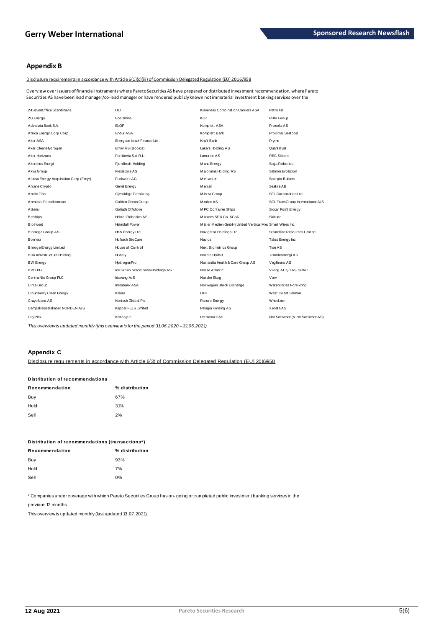### **Appendix B**

Disclosure requirements in accordance with Article 6(1)(c)(iii) of Commission Delegated Regulation (EU) 2016/958

Overview over issuers of financial instruments where Pareto Securities AS have prepared or distributed investment recommendation, where Pareto Securities AS have been lead manager/co-lead manager or have rendered publicly known not immaterial investment banking services over the

| 24 SevenOffice Scandinavia             | <b>DLT</b>                        | Klaveness Combination Carriers ASA                       | PetroTal                         |
|----------------------------------------|-----------------------------------|----------------------------------------------------------|----------------------------------|
| 2G Energy                              | EcoOnline                         | KI P                                                     | PHM Group                        |
| Advanzia Bank S.A.                     | <b>ELOP</b>                       | Komplett ASA                                             | Pronofa AS                       |
| Africa Energy Corp Corp                | Endur ASA                         | Komplett Bank                                            | Proximar Seafood                 |
| Aker ASA                               | Energean Israel Finance Ltd.      | Kraft Bank                                               | Pryme                            |
| Aker Clean Hydrogen                    | Enviv AS (Bookis)                 | Lakers Holding AS                                        | Quantafuel                       |
| Aker Horizons                          | Fertiberia S.A.R.L.               | Lumarine AS                                              | REC Silicon                      |
| Akershus Energi                        | Fjordkraft Holding                | M aha Energy                                             | Saga Robotics                    |
| Akva Group                             | Flexistore AS                     | Malorama Holding AS                                      | Salmon Evolution                 |
| Alussa Energy Acquisition Corp (Freyr) | Funkwerk AG                       | <b>Meltwater</b>                                         | Scorpio Bulkers                  |
| Arcane Crypto                          | Genel Energy                      | Mercell                                                  | Seafire AB                       |
| Arctic Fish                            | Gjensidige Forsikring             | Mintra Group                                             | SFL Corporation Ltd              |
| Arendals Fossekompani                  | Golden Ocean Group                | Modex AS                                                 | SGL TransGroup International A/S |
| Attensi                                | Goliath Offshore                  | MPC Container Ships                                      | Siccar Point Energy              |
| <b>Belships</b>                        | Halodi Robotics AS                | Mutares SE & Co. KGaA                                    | <b>Skitude</b>                   |
| <b>Biolnvent</b>                       | Heimdall Power                    | Müller Medien GmbH (United Vertical Mec Smart Wires Inc. |                                  |
| Biomega Group AS                       | <b>HKN Energy Ltd</b>             | Navigator Holdings Ltd.                                  | Strandline Resources Limited     |
| Bonheur                                | Hofseth BioCare                   | <b>Navios</b>                                            | Talos Energy Inc                 |
| Brooge Energy Limited                  | House of Control                  | Next Biometrics Group                                    | Tise AS                          |
| Bulk Infrastructure Holding            | Huddly                            | Nordic Halibut                                           | Trønderenergi AS                 |
| <b>BW Energy</b>                       | HydrogenPro                       | Norlandia Health & Care Group AS                         | Vegfinans AS                     |
| <b>BW LPG</b>                          | Ice Group Scandinavia Holdings AS | Norse Atlantic                                           | Viking ACQ 1AS, SPAC             |
| CentralNic Group PLC                   | Idavang A/S                       | Norske Skog                                              | Vow                              |
| Circa Group                            | Instabank ASA                     | Norwegian Block Exchange                                 | Watercircles Forsikring          |
| Cloudberry Clean Energy                | Kalera                            | OHT                                                      | West Coast Salmon                |
| CrayoNano AS                           | Kentech Global Plc                | Panoro Energy                                            | Wheel.me                         |
| Dampskibsselskabet NORDEN A/S          | Keppel FELS Limited               | Pelagia Holding AS                                       | Xeneta AS                        |
| <b>DigiPlex</b>                        | Kistos plc.                       | PetroNor E&P                                             | Ørn Software (View Software AS)  |
|                                        |                                   |                                                          |                                  |

This overview is updated monthly (this overview is for the period 31.06.2020 - 31.06.2021).

### Appendix C

Disclosure requirements in accordance with Article 6(3) of Commission Delegated Regulation (EU) 2016/958

| Distribution of recommendations |                |  |  |  |
|---------------------------------|----------------|--|--|--|
| Recommendation                  | % distribution |  |  |  |
| Buy                             | 67%            |  |  |  |
| Hold                            | 31%            |  |  |  |
| Sell                            | 2%             |  |  |  |
|                                 |                |  |  |  |

| Distribution of recommendations (transactions*) |                |  |  |
|-------------------------------------------------|----------------|--|--|
| Recommendation                                  | % distribution |  |  |
| Buy                                             | 93%            |  |  |
| Hold                                            | 7%             |  |  |
| Sell                                            | 0%             |  |  |
|                                                 |                |  |  |

\* Companies under coverage with which Pareto Securities Group has on-going or completed public investment banking services in the

previous 12 months.

This overview is updated monthly (last updated 13.07.2021).